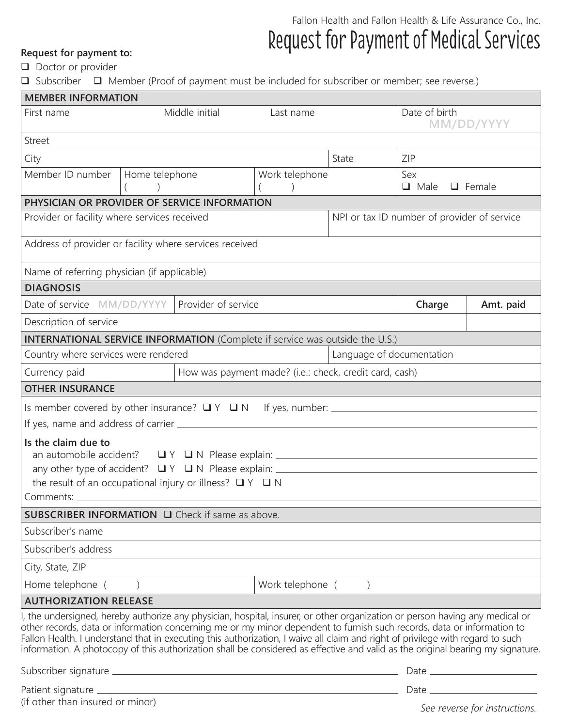## Fallon Health and Fallon Health & Life Assurance Co., Inc. Request for payment to: Request for Payment of Medical Services

 $\Box$  Doctor or provider

**□** Subscriber □ Member (Proof of payment must be included for subscriber or member; see reverse.)

| <b>MEMBER INFORMATION</b>                                                                                                                           |                                                                                                                                                                                                                                                                                                                                                                                                                                                                                                                             |                             |                             |        |                                     |  |
|-----------------------------------------------------------------------------------------------------------------------------------------------------|-----------------------------------------------------------------------------------------------------------------------------------------------------------------------------------------------------------------------------------------------------------------------------------------------------------------------------------------------------------------------------------------------------------------------------------------------------------------------------------------------------------------------------|-----------------------------|-----------------------------|--------|-------------------------------------|--|
| Middle initial<br>First name                                                                                                                        |                                                                                                                                                                                                                                                                                                                                                                                                                                                                                                                             | Last name                   | Date of birth<br>MM/DD/YYYY |        |                                     |  |
| <b>Street</b>                                                                                                                                       |                                                                                                                                                                                                                                                                                                                                                                                                                                                                                                                             |                             |                             |        |                                     |  |
| City                                                                                                                                                |                                                                                                                                                                                                                                                                                                                                                                                                                                                                                                                             |                             | State                       | ZIP    |                                     |  |
| Member ID number<br>Home telephone                                                                                                                  |                                                                                                                                                                                                                                                                                                                                                                                                                                                                                                                             |                             | Work telephone              |        | Sex<br>$\Box$ Female<br>$\Box$ Male |  |
| PHYSICIAN OR PROVIDER OF SERVICE INFORMATION                                                                                                        |                                                                                                                                                                                                                                                                                                                                                                                                                                                                                                                             |                             |                             |        |                                     |  |
| Provider or facility where services received                                                                                                        | NPI or tax ID number of provider of service                                                                                                                                                                                                                                                                                                                                                                                                                                                                                 |                             |                             |        |                                     |  |
| Address of provider or facility where services received                                                                                             |                                                                                                                                                                                                                                                                                                                                                                                                                                                                                                                             |                             |                             |        |                                     |  |
| Name of referring physician (if applicable)                                                                                                         |                                                                                                                                                                                                                                                                                                                                                                                                                                                                                                                             |                             |                             |        |                                     |  |
| <b>DIAGNOSIS</b>                                                                                                                                    |                                                                                                                                                                                                                                                                                                                                                                                                                                                                                                                             |                             |                             |        |                                     |  |
| Provider of service<br>Date of service MM/DD/YYYY                                                                                                   |                                                                                                                                                                                                                                                                                                                                                                                                                                                                                                                             |                             |                             | Charge | Amt. paid                           |  |
| Description of service                                                                                                                              |                                                                                                                                                                                                                                                                                                                                                                                                                                                                                                                             |                             |                             |        |                                     |  |
| <b>INTERNATIONAL SERVICE INFORMATION</b> (Complete if service was outside the U.S.)                                                                 |                                                                                                                                                                                                                                                                                                                                                                                                                                                                                                                             |                             |                             |        |                                     |  |
| Country where services were rendered                                                                                                                |                                                                                                                                                                                                                                                                                                                                                                                                                                                                                                                             |                             | Language of documentation   |        |                                     |  |
| Currency paid<br>How was payment made? (i.e.: check, credit card, cash)                                                                             |                                                                                                                                                                                                                                                                                                                                                                                                                                                                                                                             |                             |                             |        |                                     |  |
| <b>OTHER INSURANCE</b>                                                                                                                              |                                                                                                                                                                                                                                                                                                                                                                                                                                                                                                                             |                             |                             |        |                                     |  |
|                                                                                                                                                     |                                                                                                                                                                                                                                                                                                                                                                                                                                                                                                                             |                             |                             |        |                                     |  |
|                                                                                                                                                     |                                                                                                                                                                                                                                                                                                                                                                                                                                                                                                                             |                             |                             |        |                                     |  |
| Is the claim due to<br>the result of an occupational injury or illness? $\Box Y \Box N$                                                             |                                                                                                                                                                                                                                                                                                                                                                                                                                                                                                                             |                             |                             |        |                                     |  |
| SUBSCRIBER INFORMATION □ Check if same as above.                                                                                                    |                                                                                                                                                                                                                                                                                                                                                                                                                                                                                                                             |                             |                             |        |                                     |  |
| Subscriber's name                                                                                                                                   |                                                                                                                                                                                                                                                                                                                                                                                                                                                                                                                             |                             |                             |        |                                     |  |
| Subscriber's address                                                                                                                                |                                                                                                                                                                                                                                                                                                                                                                                                                                                                                                                             |                             |                             |        |                                     |  |
| City, State, ZIP                                                                                                                                    |                                                                                                                                                                                                                                                                                                                                                                                                                                                                                                                             |                             |                             |        |                                     |  |
| Home telephone (                                                                                                                                    |                                                                                                                                                                                                                                                                                                                                                                                                                                                                                                                             | Work telephone (<br>$\big)$ |                             |        |                                     |  |
| <b>AUTHORIZATION RELEASE</b>                                                                                                                        |                                                                                                                                                                                                                                                                                                                                                                                                                                                                                                                             |                             |                             |        |                                     |  |
|                                                                                                                                                     | I, the undersigned, hereby authorize any physician, hospital, insurer, or other organization or person having any medical or<br>other records, data or information concerning me or my minor dependent to furnish such records, data or information to<br>Fallon Health. I understand that in executing this authorization, I waive all claim and right of privilege with regard to such<br>information. A photocopy of this authorization shall be considered as effective and valid as the original bearing my signature. |                             |                             |        |                                     |  |
|                                                                                                                                                     |                                                                                                                                                                                                                                                                                                                                                                                                                                                                                                                             |                             |                             |        |                                     |  |
| Patient signature example and the state of the state of the state of the state of the state of the state of the<br>(if other than insured or minor) |                                                                                                                                                                                                                                                                                                                                                                                                                                                                                                                             |                             |                             |        |                                     |  |

*See reverse for instructions.*